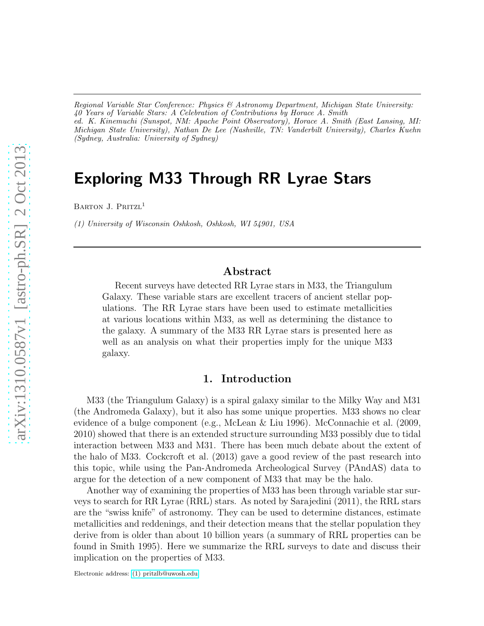*Regional Variable Star Conference: Physics & Astronomy Department, Michigan State University: 40 Years of Variable Stars: A Celebration of Contributions by Horace A. Smith ed. K. Kinemuchi (Sunspot, NM: Apache Point Observatory), Horace A. Smith (East Lansing, MI: Michigan State University), Nathan De Lee (Nashville, TN: Vanderbilt University), Charles Kuehn (Sydney, Australia: University of Sydney)*

# Exploring M33 Through RR Lyrae Stars

BARTON J. PRITZL<sup>1</sup>

*(1) University of Wisconsin Oshkosh, Oshkosh, WI 54901, USA*

## Abstract

Recent surveys have detected RR Lyrae stars in M33, the Triangulum Galaxy. These variable stars are excellent tracers of ancient stellar populations. The RR Lyrae stars have been used to estimate metallicities at various locations within M33, as well as determining the distance to the galaxy. A summary of the M33 RR Lyrae stars is presented here as well as an analysis on what their properties imply for the unique M33 galaxy.

#### 1. Introduction

M33 (the Triangulum Galaxy) is a spiral galaxy similar to the Milky Way and M31 (the Andromeda Galaxy), but it also has some unique properties. M33 shows no clear evidence of a bulge component (e.g., McLean & Liu 1996). McConnachie et al. (2009, 2010) showed that there is an extended structure surrounding M33 possibly due to tidal interaction between M33 and M31. There has been much debate about the extent of the halo of M33. Cockcroft et al. (2013) gave a good review of the past research into this topic, while using the Pan-Andromeda Archeological Survey (PAndAS) data to argue for the detection of a new component of M33 that may be the halo.

Another way of examining the properties of M33 has been through variable star surveys to search for RR Lyrae (RRL) stars. As noted by Sarajedini (2011), the RRL stars are the "swiss knife" of astronomy. They can be used to determine distances, estimate metallicities and reddenings, and their detection means that the stellar population they derive from is older than about 10 billion years (a summary of RRL properties can be found in Smith 1995). Here we summarize the RRL surveys to date and discuss their implication on the properties of M33.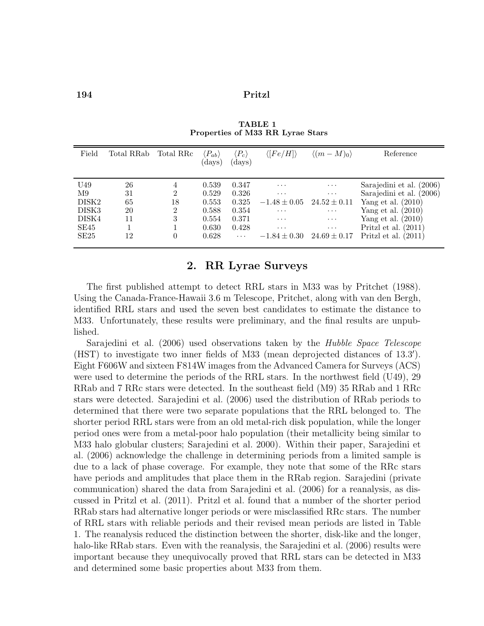194 Pritzl

| Field             | Total RRab | Total RRc      | $(P_{ab})$<br>(days) | $ P_c\rangle$<br>(days) | $\langle [Fe/H] \rangle$ | $\langle (m-M)_0 \rangle$ | Reference                |
|-------------------|------------|----------------|----------------------|-------------------------|--------------------------|---------------------------|--------------------------|
|                   |            |                |                      |                         |                          |                           |                          |
| U <sub>49</sub>   | 26         | 4              | 0.539                | 0.347                   | $\cdots$                 | $\cdots$                  | Sarajedini et al. (2006) |
| M9                | 31         | 2              | 0.529                | 0.326                   | $\cdots$                 | $\cdots$                  | Sarajedini et al. (2006) |
| DISK <sub>2</sub> | 65         | 18             | 0.553                | 0.325                   | $-1.48 \pm 0.05$         | $24.52 \pm 0.11$          | Yang et al. $(2010)$     |
| DISK <sub>3</sub> | 20         | $\overline{2}$ | 0.588                | 0.354                   | $\cdots$                 | $\ldots$                  | Yang et al. $(2010)$     |
| DISK4             | 11         | 3              | 0.554                | 0.371                   | $\cdots$                 | $\cdots$                  | Yang et al. $(2010)$     |
| SE45              |            |                | 0.630                | 0.428                   | $\cdots$                 | $\cdots$                  | Pritzl et al. $(2011)$   |
| SE25              | 12         | 0              | 0.628                | $\cdots$                | $-1.84 \pm 0.30$         | $24.69 \pm 0.17$          | Pritzl et al.<br>(2011)  |
|                   |            |                |                      |                         |                          |                           |                          |

TABLE 1 Properties of M33 RR Lyrae Stars

## 2. RR Lyrae Surveys

The first published attempt to detect RRL stars in M33 was by Pritchet (1988). Using the Canada-France-Hawaii 3.6 m Telescope, Pritchet, along with van den Bergh, identified RRL stars and used the seven best candidates to estimate the distance to M33. Unfortunately, these results were preliminary, and the final results are unpublished.

Sarajedini et al. (2006) used observations taken by the Hubble Space Telescope (HST) to investigate two inner fields of M33 (mean deprojected distances of 13.3′ ). Eight F606W and sixteen F814W images from the Advanced Camera for Surveys (ACS) were used to determine the periods of the RRL stars. In the northwest field (U49), 29 RRab and 7 RRc stars were detected. In the southeast field (M9) 35 RRab and 1 RRc stars were detected. Sarajedini et al. (2006) used the distribution of RRab periods to determined that there were two separate populations that the RRL belonged to. The shorter period RRL stars were from an old metal-rich disk population, while the longer period ones were from a metal-poor halo population (their metallicity being similar to M33 halo globular clusters; Sarajedini et al. 2000). Within their paper, Sarajedini et al. (2006) acknowledge the challenge in determining periods from a limited sample is due to a lack of phase coverage. For example, they note that some of the RRc stars have periods and amplitudes that place them in the RRab region. Sarajedini (private communication) shared the data from Sarajedini et al. (2006) for a reanalysis, as discussed in Pritzl et al. (2011). Pritzl et al. found that a number of the shorter period RRab stars had alternative longer periods or were misclassified RRc stars. The number of RRL stars with reliable periods and their revised mean periods are listed in Table 1. The reanalysis reduced the distinction between the shorter, disk-like and the longer, halo-like RRab stars. Even with the reanalysis, the Sarajedini et al. (2006) results were important because they unequivocally proved that RRL stars can be detected in M33 and determined some basic properties about M33 from them.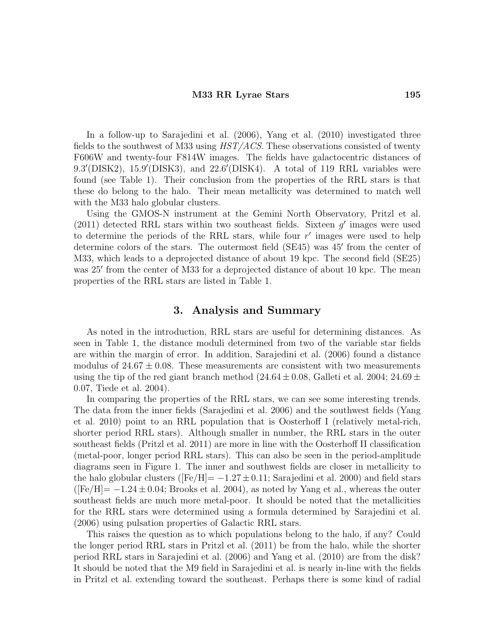#### M33 RR Lyrae Stars 195

In a follow-up to Sarajedini et al. (2006), Yang et al. (2010) investigated three fields to the southwest of M33 using HST/ACS. These observations consisted of twenty F606W and twenty-four F814W images. The fields have galactocentric distances of 9.3'(DISK2), 15.9'(DISK3), and 22.6'(DISK4). A total of 119 RRL variables were found (see Table 1). Their conclusion from the properties of the RRL stars is that these do belong to the halo. Their mean metallicity was determined to match well with the M33 halo globular clusters.

Using the GMOS-N instrument at the Gemini North Observatory, Pritzl et al. (2011) detected RRL stars within two southeast fields. Sixteen  $g'$  images were used to determine the periods of the RRL stars, while four  $r'$  images were used to help determine colors of the stars. The outermost field (SE45) was 45' from the center of M33, which leads to a deprojected distance of about 19 kpc. The second field (SE25) was 25' from the center of M33 for a deprojected distance of about 10 kpc. The mean properties of the RRL stars are listed in Table 1.

## 3. Analysis and Summary

As noted in the introduction, RRL stars are useful for determining distances. As seen in Table 1, the distance moduli determined from two of the variable star fields are within the margin of error. In addition, Sarajedini et al. (2006) found a distance modulus of  $24.67 \pm 0.08$ . These measurements are consistent with two measurements using the tip of the red giant branch method  $(24.64 \pm 0.08,$  Galleti et al. 2004;  $24.69 \pm$ 0.07, Tiede et al. 2004).

In comparing the properties of the RRL stars, we can see some interesting trends. The data from the inner fields (Sarajedini et al. 2006) and the southwest fields (Yang et al. 2010) point to an RRL population that is Oosterhoff I (relatively metal-rich, shorter period RRL stars). Although smaller in number, the RRL stars in the outer southeast fields (Pritzl et al. 2011) are more in line with the Oosterhoff II classification (metal-poor, longer period RRL stars). This can also be seen in the period-amplitude diagrams seen in Figure 1. The inner and southwest fields are closer in metallicity to the halo globular clusters ( $[Fe/H] = -1.27 \pm 0.11$ ; Sarajedini et al. 2000) and field stars  $(Fe/H]=-1.24\pm0.04$ ; Brooks et al. 2004), as noted by Yang et al., whereas the outer southeast fields are much more metal-poor. It should be noted that the metallicities for the RRL stars were determined using a formula determined by Sarajedini et al. (2006) using pulsation properties of Galactic RRL stars.

This raises the question as to which populations belong to the halo, if any? Could the longer period RRL stars in Pritzl et al. (2011) be from the halo, while the shorter period RRL stars in Sarajedini et al. (2006) and Yang et al. (2010) are from the disk? It should be noted that the M9 field in Sarajedini et al. is nearly in-line with the fields in Pritzl et al. extending toward the southeast. Perhaps there is some kind of radial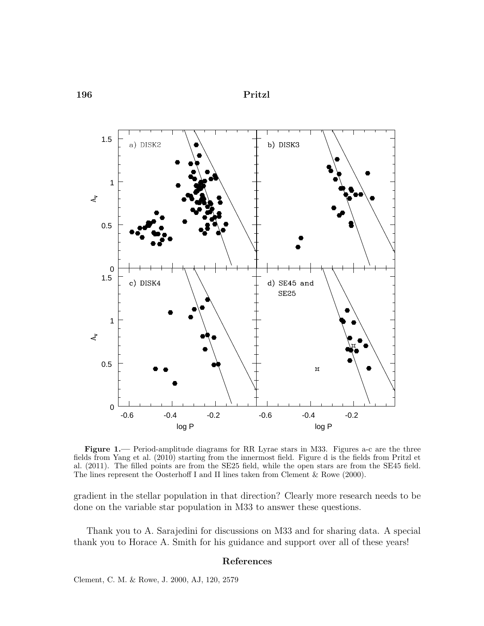196 Pritzl



Figure 1.— Period-amplitude diagrams for RR Lyrae stars in M33. Figures a-c are the three fields from Yang et al. (2010) starting from the innermost field. Figure d is the fields from Pritzl et al. (2011). The filled points are from the SE25 field, while the open stars are from the SE45 field. The lines represent the Oosterhoff I and II lines taken from Clement & Rowe (2000).

gradient in the stellar population in that direction? Clearly more research needs to be done on the variable star population in M33 to answer these questions.

Thank you to A. Sarajedini for discussions on M33 and for sharing data. A special thank you to Horace A. Smith for his guidance and support over all of these years!

#### References

Clement, C. M. & Rowe, J. 2000, AJ, 120, 2579